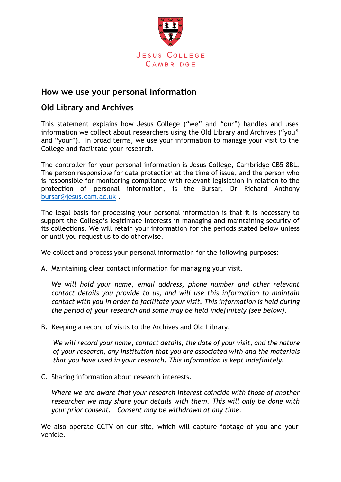

## **How we use your personal information**

## **Old Library and Archives**

This statement explains how Jesus College ("we" and "our") handles and uses information we collect about researchers using the Old Library and Archives ("you" and "your"). In broad terms, we use your information to manage your visit to the College and facilitate your research.

The controller for your personal information is Jesus College, Cambridge CB5 8BL. The person responsible for data protection at the time of issue, and the person who is responsible for monitoring compliance with relevant legislation in relation to the protection of personal information, is the Bursar, Dr Richard Anthony [bursar@jesus.cam.ac.uk](mailto:bursar@jesus.cam.ac.uk) .

The legal basis for processing your personal information is that it is necessary to support the College's legitimate interests in managing and maintaining security of its collections. We will retain your information for the periods stated below unless or until you request us to do otherwise.

We collect and process your personal information for the following purposes:

A. Maintaining clear contact information for managing your visit.

*We will hold your name, email address, phone number and other relevant contact details you provide to us, and will use this information to maintain contact with you in order to facilitate your visit. This information is held during the period of your research and some may be held indefinitely (see below).*

B. Keeping a record of visits to the Archives and Old Library.

*We will record your name, contact details, the date of your visit, and the nature of your research, any institution that you are associated with and the materials that you have used in your research. This information is kept indefinitely.*

C. Sharing information about research interests.

*Where we are aware that your research interest coincide with those of another researcher we may share your details with them. This will only be done with your prior consent. Consent may be withdrawn at any time.*

We also operate CCTV on our site, which will capture footage of you and your vehicle.